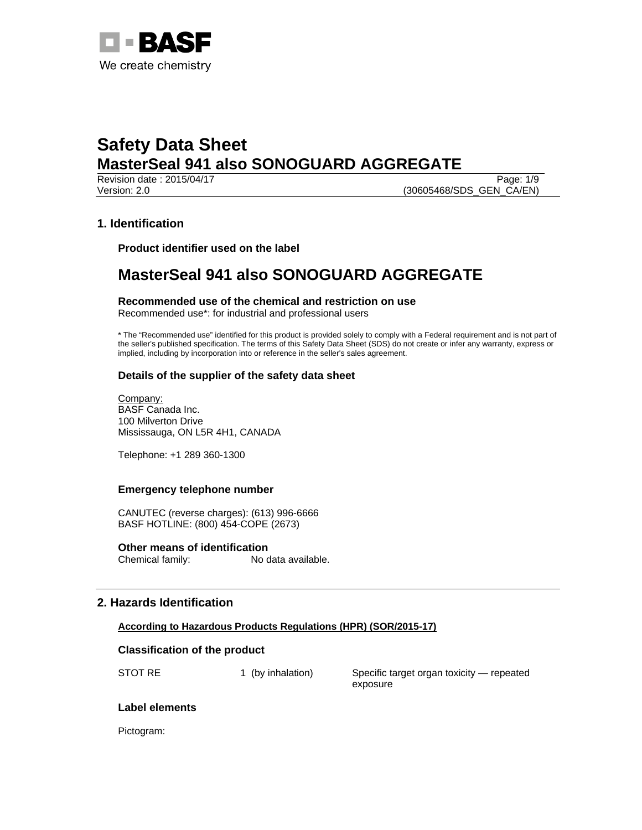

Revision date : 2015/04/17 Page: 1/9 Version: 2.0 **(30605468/SDS\_GEN\_CA/EN)** 

# **1. Identification**

**Product identifier used on the label** 

# **MasterSeal 941 also SONOGUARD AGGREGATE**

**Recommended use of the chemical and restriction on use**  Recommended use\*: for industrial and professional users

\* The "Recommended use" identified for this product is provided solely to comply with a Federal requirement and is not part of the seller's published specification. The terms of this Safety Data Sheet (SDS) do not create or infer any warranty, express or implied, including by incorporation into or reference in the seller's sales agreement.

# **Details of the supplier of the safety data sheet**

Company: BASF Canada Inc. 100 Milverton Drive Mississauga, ON L5R 4H1, CANADA

Telephone: +1 289 360-1300

## **Emergency telephone number**

CANUTEC (reverse charges): (613) 996-6666 BASF HOTLINE: (800) 454-COPE (2673)

**Other means of identification**  Chemical family: No data available.

# **2. Hazards Identification**

## **According to Hazardous Products Regulations (HPR) (SOR/2015-17)**

## **Classification of the product**

STOT RE 1 (by inhalation) Specific target organ toxicity — repeated exposure

## **Label elements**

Pictogram: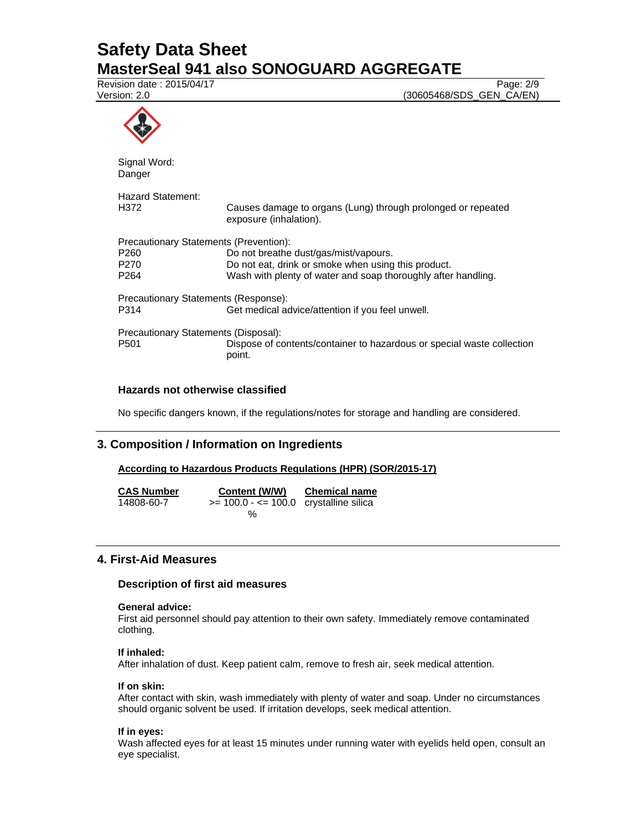Revision date : 2015/04/17 Page: 2/9

Version: 2.0 (30605468/SDS\_GEN\_CA/EN)



Signal Word: Danger

| Hazard Statement:<br>H372              | Causes damage to organs (Lung) through prolonged or repeated<br>exposure (inhalation). |  |
|----------------------------------------|----------------------------------------------------------------------------------------|--|
| Precautionary Statements (Prevention): |                                                                                        |  |
| P260                                   | Do not breathe dust/gas/mist/vapours.                                                  |  |
| P270                                   | Do not eat, drink or smoke when using this product.                                    |  |
| P264                                   | Wash with plenty of water and soap thoroughly after handling.                          |  |
| Precautionary Statements (Response):   |                                                                                        |  |
| P314                                   | Get medical advice/attention if you feel unwell.                                       |  |
| Precautionary Statements (Disposal):   |                                                                                        |  |
| P501                                   | Dispose of contents/container to hazardous or special waste collection<br>point.       |  |
|                                        |                                                                                        |  |

# **Hazards not otherwise classified**

No specific dangers known, if the regulations/notes for storage and handling are considered.

# **3. Composition / Information on Ingredients**

# **According to Hazardous Products Regulations (HPR) (SOR/2015-17)**

| <b>CAS Number</b> | Content (W/W)                             | <b>Chemical name</b> |
|-------------------|-------------------------------------------|----------------------|
| 14808-60-7        | $>= 100.0 - \le 100.0$ crystalline silica |                      |
|                   | %                                         |                      |

# **4. First-Aid Measures**

## **Description of first aid measures**

# **General advice:**

First aid personnel should pay attention to their own safety. Immediately remove contaminated clothing.

## **If inhaled:**

After inhalation of dust. Keep patient calm, remove to fresh air, seek medical attention.

## **If on skin:**

After contact with skin, wash immediately with plenty of water and soap. Under no circumstances should organic solvent be used. If irritation develops, seek medical attention.

## **If in eyes:**

Wash affected eyes for at least 15 minutes under running water with eyelids held open, consult an eye specialist.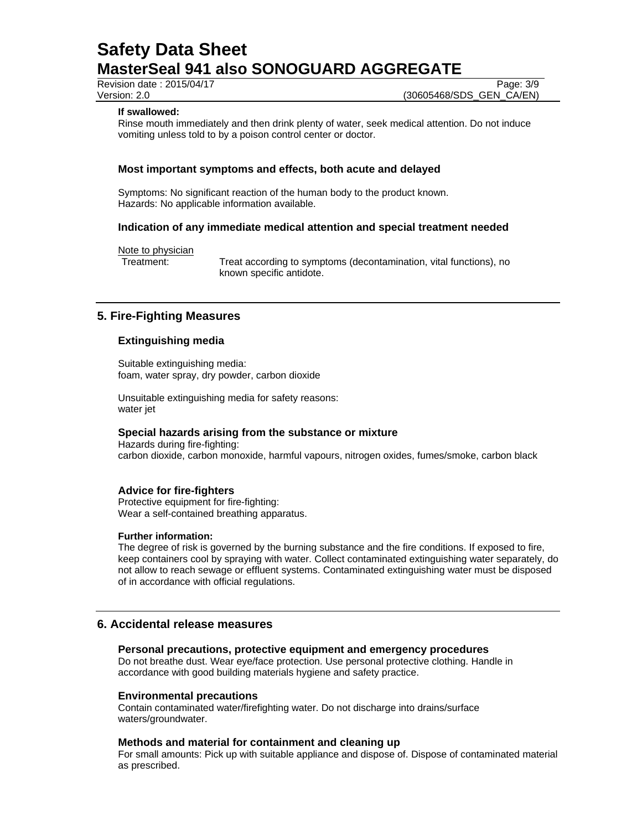Revision date : 2015/04/17 Page: 3/9

Version: 2.0 (30605468/SDS\_GEN\_CA/EN)

### **If swallowed:**

Rinse mouth immediately and then drink plenty of water, seek medical attention. Do not induce vomiting unless told to by a poison control center or doctor.

## **Most important symptoms and effects, both acute and delayed**

Symptoms: No significant reaction of the human body to the product known. Hazards: No applicable information available.

## **Indication of any immediate medical attention and special treatment needed**

Note to physician

Treatment: Treat according to symptoms (decontamination, vital functions), no known specific antidote.

# **5. Fire-Fighting Measures**

## **Extinguishing media**

Suitable extinguishing media: foam, water spray, dry powder, carbon dioxide

Unsuitable extinguishing media for safety reasons: water jet

# **Special hazards arising from the substance or mixture**

Hazards during fire-fighting: carbon dioxide, carbon monoxide, harmful vapours, nitrogen oxides, fumes/smoke, carbon black

### **Advice for fire-fighters**

Protective equipment for fire-fighting: Wear a self-contained breathing apparatus.

#### **Further information:**

The degree of risk is governed by the burning substance and the fire conditions. If exposed to fire, keep containers cool by spraying with water. Collect contaminated extinguishing water separately, do not allow to reach sewage or effluent systems. Contaminated extinguishing water must be disposed of in accordance with official regulations.

# **6. Accidental release measures**

#### **Personal precautions, protective equipment and emergency procedures**

Do not breathe dust. Wear eye/face protection. Use personal protective clothing. Handle in accordance with good building materials hygiene and safety practice.

#### **Environmental precautions**

Contain contaminated water/firefighting water. Do not discharge into drains/surface waters/groundwater.

#### **Methods and material for containment and cleaning up**

For small amounts: Pick up with suitable appliance and dispose of. Dispose of contaminated material as prescribed.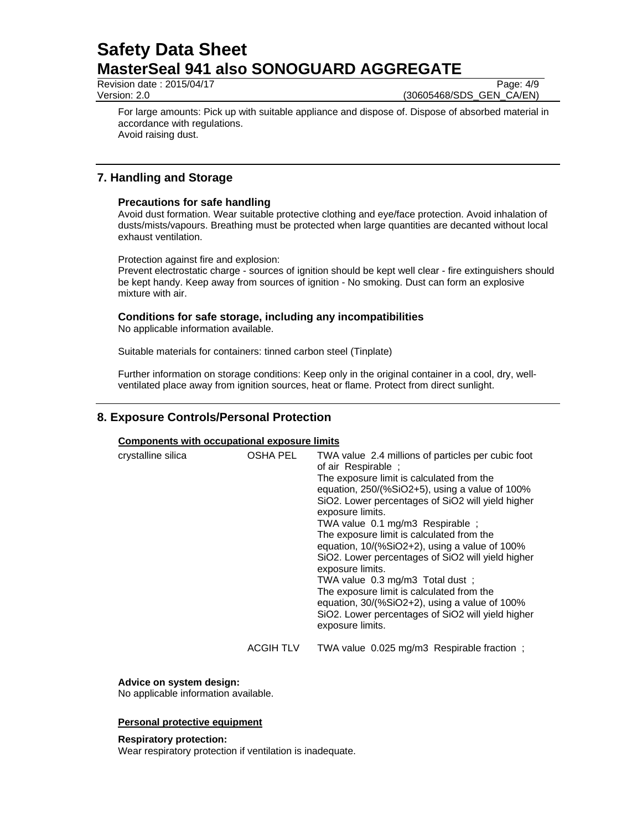Revision date : 2015/04/17 Page: 4/9

Version: 2.0 (30605468/SDS\_GEN\_CA/EN)

For large amounts: Pick up with suitable appliance and dispose of. Dispose of absorbed material in accordance with regulations. Avoid raising dust.

# **7. Handling and Storage**

# **Precautions for safe handling**

Avoid dust formation. Wear suitable protective clothing and eye/face protection. Avoid inhalation of dusts/mists/vapours. Breathing must be protected when large quantities are decanted without local exhaust ventilation.

Protection against fire and explosion:

Prevent electrostatic charge - sources of ignition should be kept well clear - fire extinguishers should be kept handy. Keep away from sources of ignition - No smoking. Dust can form an explosive mixture with air.

# **Conditions for safe storage, including any incompatibilities**

No applicable information available.

Suitable materials for containers: tinned carbon steel (Tinplate)

Further information on storage conditions: Keep only in the original container in a cool, dry, wellventilated place away from ignition sources, heat or flame. Protect from direct sunlight.

# **8. Exposure Controls/Personal Protection**

# **Components with occupational exposure limits**

| crystalline silica | OSHA PEL         | TWA value 2.4 millions of particles per cubic foot<br>of air Respirable ;<br>The exposure limit is calculated from the<br>equation, $250/(%SiO2+5)$ , using a value of 100%<br>SiO2. Lower percentages of SiO2 will yield higher<br>exposure limits.<br>TWA value 0.1 mg/m3 Respirable;<br>The exposure limit is calculated from the<br>equation, 10/(%SiO2+2), using a value of 100%<br>SiO2. Lower percentages of SiO2 will yield higher<br>exposure limits.<br>TWA value 0.3 mg/m3 Total dust;<br>The exposure limit is calculated from the<br>equation, 30/(%SiO2+2), using a value of 100%<br>SiO2. Lower percentages of SiO2 will yield higher<br>exposure limits. |
|--------------------|------------------|--------------------------------------------------------------------------------------------------------------------------------------------------------------------------------------------------------------------------------------------------------------------------------------------------------------------------------------------------------------------------------------------------------------------------------------------------------------------------------------------------------------------------------------------------------------------------------------------------------------------------------------------------------------------------|
|                    | <b>ACGIH TLV</b> | TWA value 0.025 mg/m3 Respirable fraction;                                                                                                                                                                                                                                                                                                                                                                                                                                                                                                                                                                                                                               |

**Advice on system design:**

No applicable information available.

## **Personal protective equipment**

**Respiratory protection:**

Wear respiratory protection if ventilation is inadequate.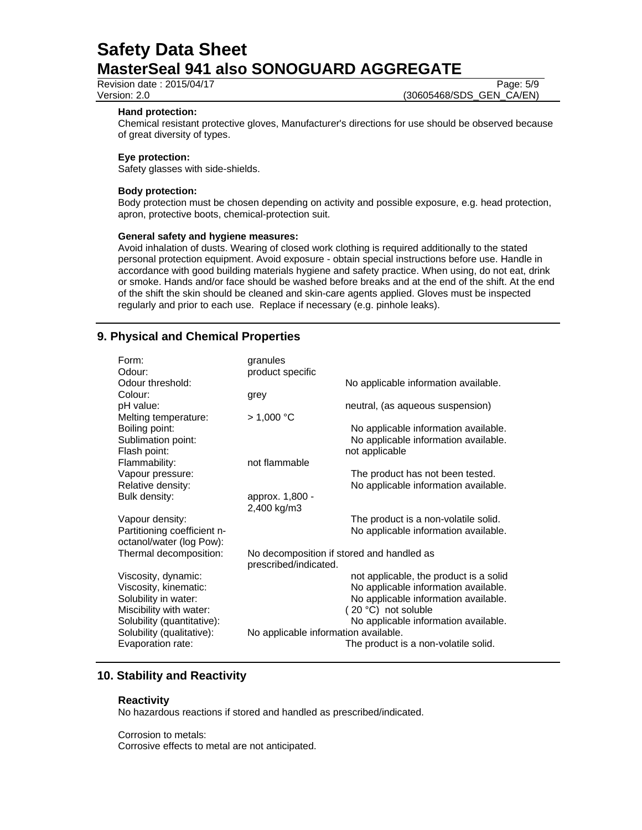Revision date : 2015/04/17 Page: 5/9

Version: 2.0 (30605468/SDS\_GEN\_CA/EN)

#### **Hand protection:**

Chemical resistant protective gloves, Manufacturer's directions for use should be observed because of great diversity of types.

#### **Eye protection:**

Safety glasses with side-shields.

#### **Body protection:**

Body protection must be chosen depending on activity and possible exposure, e.g. head protection, apron, protective boots, chemical-protection suit.

### **General safety and hygiene measures:**

Avoid inhalation of dusts. Wearing of closed work clothing is required additionally to the stated personal protection equipment. Avoid exposure - obtain special instructions before use. Handle in accordance with good building materials hygiene and safety practice. When using, do not eat, drink or smoke. Hands and/or face should be washed before breaks and at the end of the shift. At the end of the shift the skin should be cleaned and skin-care agents applied. Gloves must be inspected regularly and prior to each use. Replace if necessary (e.g. pinhole leaks).

# **9. Physical and Chemical Properties**

| Form:<br>Odour:<br>Odour threshold:<br>Colour:<br>pH value:<br>Melting temperature:                                                                                             | granules<br>product specific<br>grey<br>> 1,000 °C                 | No applicable information available.<br>neutral, (as aqueous suspension)                                                                                                                                                      |
|---------------------------------------------------------------------------------------------------------------------------------------------------------------------------------|--------------------------------------------------------------------|-------------------------------------------------------------------------------------------------------------------------------------------------------------------------------------------------------------------------------|
| Boiling point:<br>Sublimation point:<br>Flash point:                                                                                                                            |                                                                    | No applicable information available.<br>No applicable information available.<br>not applicable                                                                                                                                |
| Flammability:<br>Vapour pressure:<br>Relative density:                                                                                                                          | not flammable                                                      | The product has not been tested.<br>No applicable information available.                                                                                                                                                      |
| Bulk density:                                                                                                                                                                   | approx. 1,800 -<br>2,400 kg/m3                                     |                                                                                                                                                                                                                               |
| Vapour density:<br>Partitioning coefficient n-<br>octanol/water (log Pow):                                                                                                      |                                                                    | The product is a non-volatile solid.<br>No applicable information available.                                                                                                                                                  |
| Thermal decomposition:                                                                                                                                                          | No decomposition if stored and handled as<br>prescribed/indicated. |                                                                                                                                                                                                                               |
| Viscosity, dynamic:<br>Viscosity, kinematic:<br>Solubility in water:<br>Miscibility with water:<br>Solubility (quantitative):<br>Solubility (qualitative):<br>Evaporation rate: | No applicable information available.                               | not applicable, the product is a solid<br>No applicable information available.<br>No applicable information available.<br>(20 °C) not soluble<br>No applicable information available.<br>The product is a non-volatile solid. |

# **10. Stability and Reactivity**

## **Reactivity**

No hazardous reactions if stored and handled as prescribed/indicated.

Corrosion to metals:

Corrosive effects to metal are not anticipated.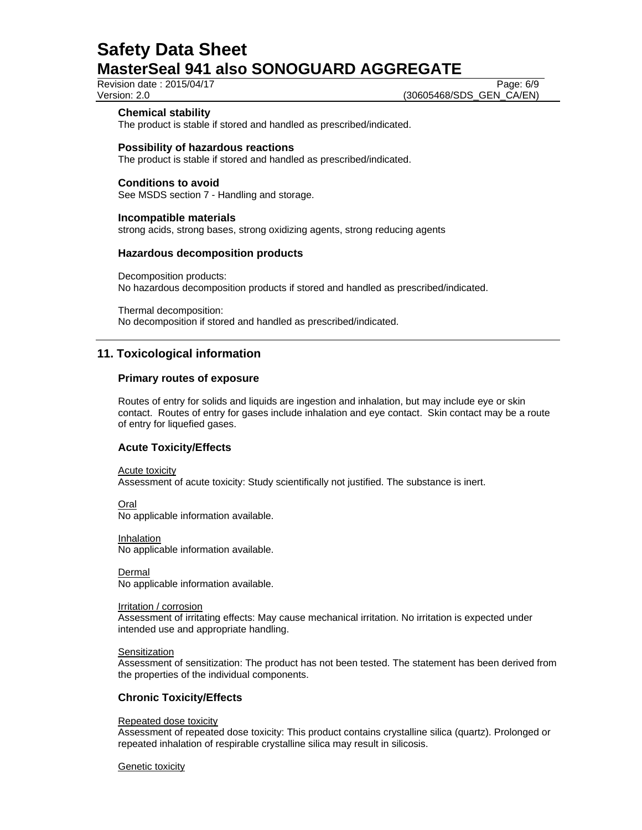Revision date : 2015/04/17 Page: 6/9

Version: 2.0 (30605468/SDS\_GEN\_CA/EN)

# **Chemical stability**

The product is stable if stored and handled as prescribed/indicated.

## **Possibility of hazardous reactions**

The product is stable if stored and handled as prescribed/indicated.

## **Conditions to avoid**

See MSDS section 7 - Handling and storage.

## **Incompatible materials**

strong acids, strong bases, strong oxidizing agents, strong reducing agents

## **Hazardous decomposition products**

Decomposition products: No hazardous decomposition products if stored and handled as prescribed/indicated.

Thermal decomposition: No decomposition if stored and handled as prescribed/indicated.

# **11. Toxicological information**

## **Primary routes of exposure**

Routes of entry for solids and liquids are ingestion and inhalation, but may include eye or skin contact. Routes of entry for gases include inhalation and eye contact. Skin contact may be a route of entry for liquefied gases.

## **Acute Toxicity/Effects**

Acute toxicity

Assessment of acute toxicity: Study scientifically not justified. The substance is inert.

Oral

No applicable information available.

Inhalation No applicable information available.

Dermal No applicable information available.

Irritation / corrosion

Assessment of irritating effects: May cause mechanical irritation. No irritation is expected under intended use and appropriate handling.

## **Sensitization**

Assessment of sensitization: The product has not been tested. The statement has been derived from the properties of the individual components.

# **Chronic Toxicity/Effects**

#### Repeated dose toxicity

Assessment of repeated dose toxicity: This product contains crystalline silica (quartz). Prolonged or repeated inhalation of respirable crystalline silica may result in silicosis.

#### Genetic toxicity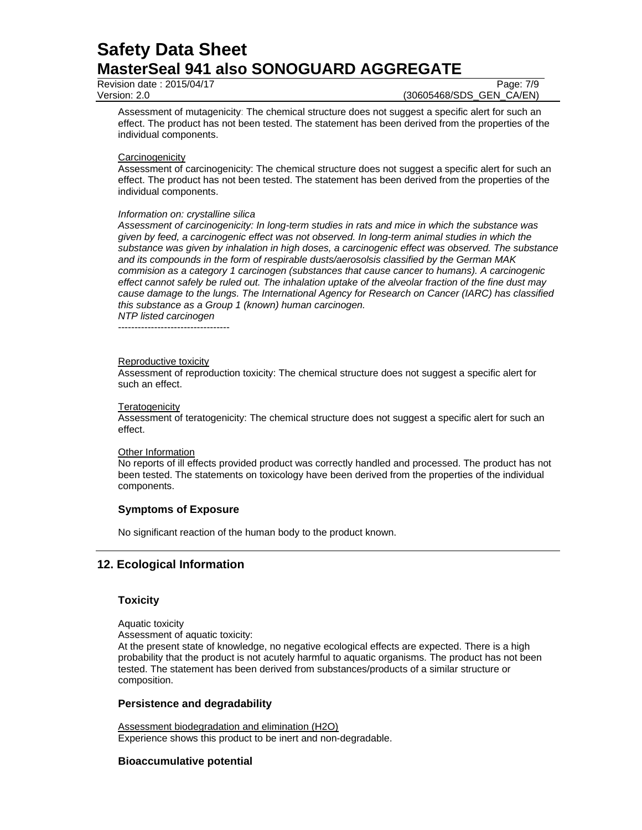Revision date : 2015/04/17 Page: 7/9

Version: 2.0 (30605468/SDS\_GEN\_CA/EN)

Assessment of mutagenicity: The chemical structure does not suggest a specific alert for such an effect. The product has not been tested. The statement has been derived from the properties of the individual components.

## **Carcinogenicity**

Assessment of carcinogenicity: The chemical structure does not suggest a specific alert for such an effect. The product has not been tested. The statement has been derived from the properties of the individual components.

#### *Information on: crystalline silica*

*Assessment of carcinogenicity: In long-term studies in rats and mice in which the substance was given by feed, a carcinogenic effect was not observed. In long-term animal studies in which the substance was given by inhalation in high doses, a carcinogenic effect was observed. The substance and its compounds in the form of respirable dusts/aerosolsis classified by the German MAK commision as a category 1 carcinogen (substances that cause cancer to humans). A carcinogenic effect cannot safely be ruled out. The inhalation uptake of the alveolar fraction of the fine dust may cause damage to the lungs. The International Agency for Research on Cancer (IARC) has classified this substance as a Group 1 (known) human carcinogen. NTP listed carcinogen* 

----------------------------------

#### Reproductive toxicity

Assessment of reproduction toxicity: The chemical structure does not suggest a specific alert for such an effect.

#### **Teratogenicity**

Assessment of teratogenicity: The chemical structure does not suggest a specific alert for such an effect.

#### Other Information

No reports of ill effects provided product was correctly handled and processed. The product has not been tested. The statements on toxicology have been derived from the properties of the individual components.

# **Symptoms of Exposure**

No significant reaction of the human body to the product known.

# **12. Ecological Information**

## **Toxicity**

Aquatic toxicity

Assessment of aquatic toxicity:

At the present state of knowledge, no negative ecological effects are expected. There is a high probability that the product is not acutely harmful to aquatic organisms. The product has not been tested. The statement has been derived from substances/products of a similar structure or composition.

# **Persistence and degradability**

Assessment biodegradation and elimination (H2O) Experience shows this product to be inert and non-degradable.

## **Bioaccumulative potential**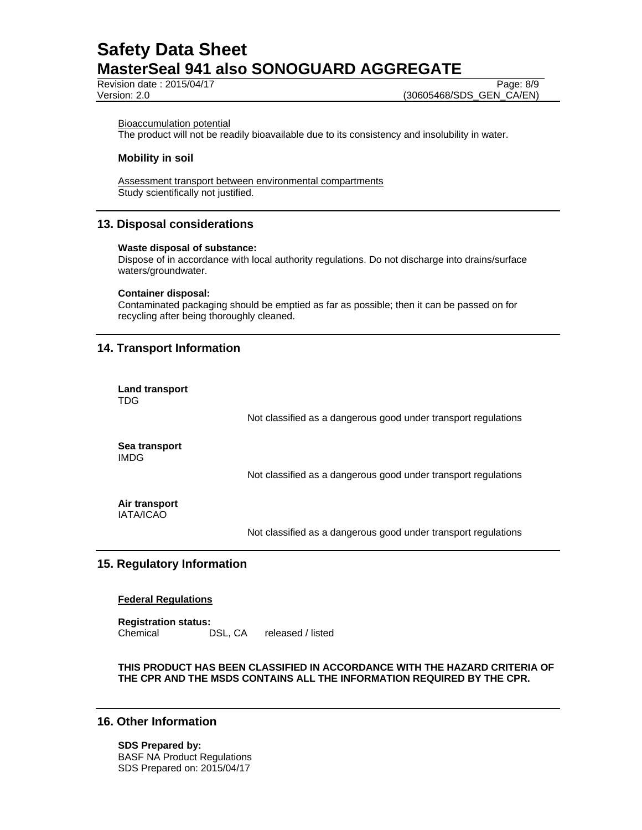Revision date : 2015/04/17 Page: 8/9

Version: 2.0 (30605468/SDS\_GEN\_CA/EN)

#### Bioaccumulation potential

The product will not be readily bioavailable due to its consistency and insolubility in water.

### **Mobility in soil**

Assessment transport between environmental compartments Study scientifically not justified.

# **13. Disposal considerations**

#### **Waste disposal of substance:**

Dispose of in accordance with local authority regulations. Do not discharge into drains/surface waters/groundwater.

#### **Container disposal:**

Contaminated packaging should be emptied as far as possible; then it can be passed on for recycling after being thoroughly cleaned.

## **14. Transport Information**

**Land transport** 

| <b>TDG</b>                        |                                                                |
|-----------------------------------|----------------------------------------------------------------|
|                                   | Not classified as a dangerous good under transport regulations |
| Sea transport<br><b>IMDG</b>      |                                                                |
|                                   | Not classified as a dangerous good under transport regulations |
| Air transport<br><b>IATA/ICAO</b> |                                                                |

Not classified as a dangerous good under transport regulations

# **15. Regulatory Information**

#### **Federal Regulations**

**Registration status:**  Chemical DSL, CA released / listed

## **THIS PRODUCT HAS BEEN CLASSIFIED IN ACCORDANCE WITH THE HAZARD CRITERIA OF THE CPR AND THE MSDS CONTAINS ALL THE INFORMATION REQUIRED BY THE CPR.**

## **16. Other Information**

**SDS Prepared by:**  BASF NA Product Regulations SDS Prepared on: 2015/04/17